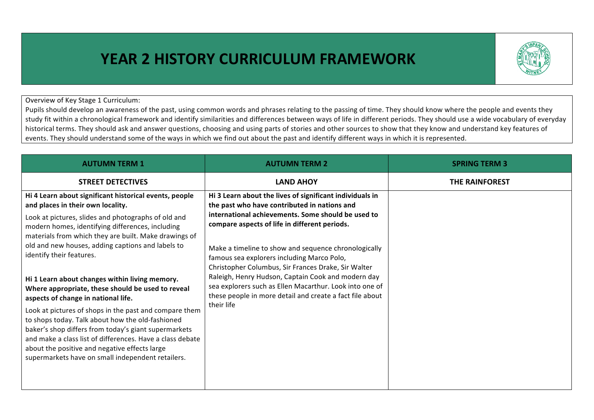## **YEAR 2 HISTORY CURRICULUM FRAMEWORK**



Overview of Key Stage 1 Curriculum:

Pupils should develop an awareness of the past, using common words and phrases relating to the passing of time. They should know where the people and events they study fit within a chronological framework and identify similarities and differences between ways of life in different periods. They should use a wide vocabulary of everyday historical terms. They should ask and answer questions, choosing and using parts of stories and other sources to show that they know and understand key features of events. They should understand some of the ways in which we find out about the past and identify different ways in which it is represented.

| <b>AUTUMN TERM 1</b>                                                                                                                                                                                                                                                                                                                                                                                                                                                                | <b>AUTUMN TERM 2</b>                                                                                                                                                                                                                                                                                                                                                                                                                                                                                                                                                    | <b>SPRING TERM 3</b>  |
|-------------------------------------------------------------------------------------------------------------------------------------------------------------------------------------------------------------------------------------------------------------------------------------------------------------------------------------------------------------------------------------------------------------------------------------------------------------------------------------|-------------------------------------------------------------------------------------------------------------------------------------------------------------------------------------------------------------------------------------------------------------------------------------------------------------------------------------------------------------------------------------------------------------------------------------------------------------------------------------------------------------------------------------------------------------------------|-----------------------|
| <b>STREET DETECTIVES</b>                                                                                                                                                                                                                                                                                                                                                                                                                                                            | <b>LAND AHOY</b>                                                                                                                                                                                                                                                                                                                                                                                                                                                                                                                                                        | <b>THE RAINFOREST</b> |
| Hi 4 Learn about significant historical events, people<br>and places in their own locality.<br>Look at pictures, slides and photographs of old and<br>modern homes, identifying differences, including<br>materials from which they are built. Make drawings of<br>old and new houses, adding captions and labels to<br>identify their features.                                                                                                                                    | Hi 3 Learn about the lives of significant individuals in<br>the past who have contributed in nations and<br>international achievements. Some should be used to<br>compare aspects of life in different periods.<br>Make a timeline to show and sequence chronologically<br>famous sea explorers including Marco Polo,<br>Christopher Columbus, Sir Frances Drake, Sir Walter<br>Raleigh, Henry Hudson, Captain Cook and modern day<br>sea explorers such as Ellen Macarthur. Look into one of<br>these people in more detail and create a fact file about<br>their life |                       |
| Hi 1 Learn about changes within living memory.<br>Where appropriate, these should be used to reveal<br>aspects of change in national life.<br>Look at pictures of shops in the past and compare them<br>to shops today. Talk about how the old-fashioned<br>baker's shop differs from today's giant supermarkets<br>and make a class list of differences. Have a class debate<br>about the positive and negative effects large<br>supermarkets have on small independent retailers. |                                                                                                                                                                                                                                                                                                                                                                                                                                                                                                                                                                         |                       |